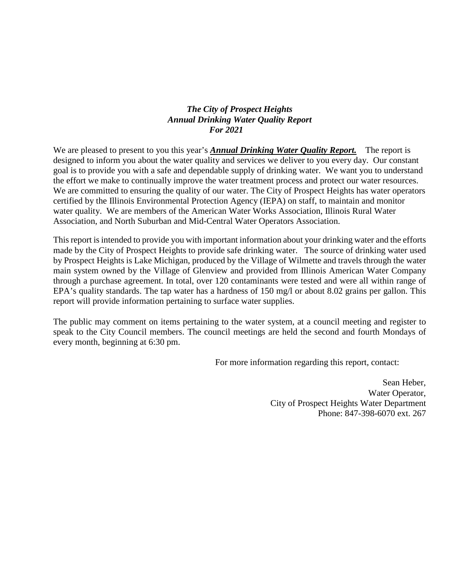## *The City of Prospect Heights Annual Drinking Water Quality Report For 2021*

We are pleased to present to you this year's **Annual Drinking Water Quality Report.** The report is designed to inform you about the water quality and services we deliver to you every day. Our constant goal is to provide you with a safe and dependable supply of drinking water. We want you to understand the effort we make to continually improve the water treatment process and protect our water resources. We are committed to ensuring the quality of our water. The City of Prospect Heights has water operators certified by the Illinois Environmental Protection Agency (IEPA) on staff, to maintain and monitor water quality. We are members of the American Water Works Association, Illinois Rural Water Association, and North Suburban and Mid-Central Water Operators Association.

This report is intended to provide you with important information about your drinking water and the efforts made by the City of Prospect Heights to provide safe drinking water. The source of drinking water used by Prospect Heights is Lake Michigan, produced by the Village of Wilmette and travels through the water main system owned by the Village of Glenview and provided from Illinois American Water Company through a purchase agreement. In total, over 120 contaminants were tested and were all within range of EPA's quality standards. The tap water has a hardness of 150 mg/l or about 8.02 grains per gallon. This report will provide information pertaining to surface water supplies.

The public may comment on items pertaining to the water system, at a council meeting and register to speak to the City Council members. The council meetings are held the second and fourth Mondays of every month, beginning at 6:30 pm.

For more information regarding this report, contact:

Sean Heber, Water Operator, City of Prospect Heights Water Department Phone: 847-398-6070 ext. 267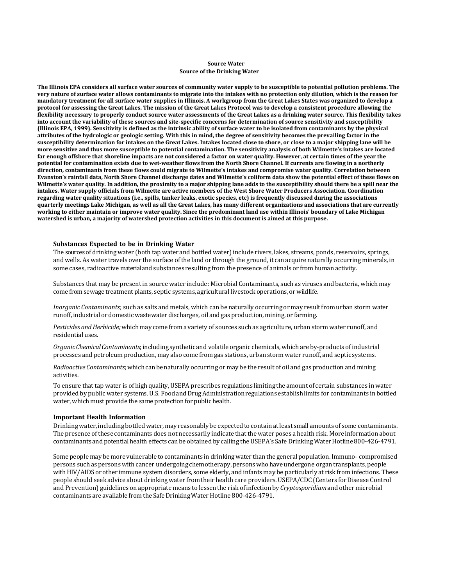### **Source Water Source of the Drinking Water**

**The Illinois EPA considers all surface water sources of community water supply to be susceptible to potential pollution problems. The very nature of surface water allows contaminants to migrate into the intakes with no protection only dilution, which is the reason for mandatory treatment for all surface water supplies in Illinois. A workgroup from the Great Lakes States was organized to develop a protocol for assessing the Great Lakes. The mission of the Great Lakes Protocol was to develop a consistent procedure allowing the flexibility necessary to properly conduct source water assessments of the Great Lakes as a drinking water source. This flexibility takes into account the variability of these sources and site-specific concerns for determination of source sensitivity and susceptibility (Illinois EPA, 1999). Sensitivity is defined as the intrinsic ability of surface water to be isolated from contaminants by the physical attributes of the hydrologic or geologic setting. With this in mind, the degree of sensitivity becomes the prevailing factor in the susceptibility determination for intakes on the Great Lakes. Intakes located close to shore, or close to a major shipping lane will be more sensitive and thus more susceptible to potential contamination. The sensitivity analysis of both Wilmette's intakes are located far enough offshore that shoreline impacts are not considered a factor on water quality. However, at certain times of the year the potential for contamination exists due to wet-weather flows from the North Shore Channel. If currents are flowing in a northerly direction, contaminants from these flows could migrate to Wilmette's intakes and compromise water quality. Correlation between Evanston's rainfall data, North Shore Channel discharge dates and Wilmette's coliform data show the potential effect of these flows on Wilmette's water quality. In addition, the proximity to a major shipping lane adds to the susceptibility should there be a spill near the intakes. Water supply officials from Wilmette are active members of the West Shore Water Producers Association. Coordination regarding water quality situations (i.e., spills, tanker leaks, exotic species, etc) is frequently discussed during the associations quarterly meetings Lake Michigan, as well as all the Great Lakes, has many different organizations and associations that are currently working to either maintain or improve water quality. Since the predominant land use within Illinois' boundary of Lake Michigan watershed is urban, a majority of watershed protection activities in this document is aimed at this purpose.**

### **Substances Expected to be in Drinking Water**

The sources of drinking water (both tap water and bottled water) include rivers, lakes, streams, ponds, reservoirs, springs, and wells. As water travels over the surface of the land or through the ground, it can acquire naturally occurring minerals, in some cases, radioactive material and substances resulting from the presence of animals or from human activity.

Substances that may be presentin source water include: Microbial Contaminants, such as viruses and bacteria, which may come from sewage treatment plants, septic systems, agricultural livestockoperations,orwildlife.

*Inorganic Contaminants*; such as salts and metals, which can be naturally occurring or may resultfrom urban storm water runoff, industrial or domestic wastewater discharges, oil and gas production, mining, or farming.

*Pesticides and Herbicide;* which may come from a variety of sources such as agriculture, urban storm water runoff, and residential uses.

*OrganicChemicalContaminants*;includingsyntheticand volatile organic chemicals, which are by-products of industrial processes and petroleum production, may also come from gas stations, urban storm water runoff, and septicsystems.

*Radioactive Contaminants*; which can be naturally occurring or may be the result of oil and gas production and mining activities.

To ensure that tap water is of high quality, USEPA prescribes regulations limiting the amount of certain substances in water provided by public water systems. U.S. FoodandDrugAdministrationregulations establishlimits for contaminants in bottled water, which must provide the same protection for public health.

#### **Important Health Information**

Drinkingwater,includingbottledwater,may reasonablybe expected to contain atleast small amounts of some contaminants. The presence ofthese contaminants does not necessarily indicate that the water poses a health risk. More informationabout contaminants and potential health effects can be obtained by calling the USEPA's Safe Drinking Water Hotline 800-426-4791.

Some people may be more vulnerable to contaminants in drinking water than the general population. Immuno- compromised persons such as persons with cancer undergoing chemotherapy, personswho have undergone organtransplants,people with HIV/AIDS or other immune system disorders, some elderly, and infants may be particularly at risk from infections. These people should seek advice about drinking water from their health care providers. USEPA/CDC (Centers for Disease Control and Prevention) guidelines on appropriate means to lessen the risk ofinfection by*Cryptosporidium*andother microbial contaminants are available fromthe SafeDrinkingWater Hotline 800-426-4791.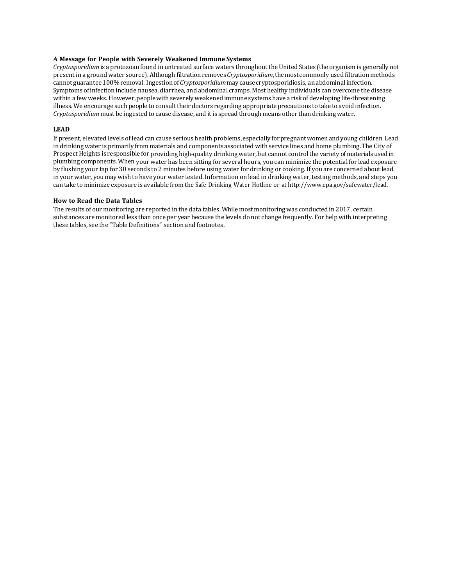## **A Message for People with Severely Weakened Immune Systems**

*Cryptosporidium* is a protozoan found in untreated surface waters throughout the United States (the organism is generally not presentin a ground water source). Although filtrationremoves*Cryptosporidium*,themostcommonly used filtration methods cannot guarantee100%removal. Ingestionof*Cryptosporidium*maycausecryptosporidiosis, anabdominalinfection. Symptoms ofinfectioninclude nausea, diarrhea, and abdominal cramps. Most healthy individuals can overcome the disease within a few weeks. However, people with severely weakened immune systems have a risk of developing life-threatening illness. We encourage such people to consult their doctors regarding appropriate precautions to take to avoid infection. *Cryptosporidium* must be ingested to cause disease, and it is spread through means other than drinking water.

## **LEAD**

If present, elevated levels of lead can cause serious health problems, especially forpregnantwomenand young children. Lead in drinkingwater is primarily from materials and components associated with service lines and home plumbing.The City of Prospect Heights is responsible for providing high-quality drinking water, but cannot control the variety of materials used in plumbing components.When your water has been sitting for several hours, you can minimize the potential for lead exposure by flushing your tap for 30 seconds to 2 minutes before using water for drinking or cooking. If you are concerned about lead in your water, you may wish to have your water tested. Information on lead in drinking water, testing methods, and steps you can take to minimize exposure is available from the Safe Drinking Water Hotline or at [http://www.epa.gov/safewater/lead.](http://www.epa.gov/safewater/lead)

### **How to Read the Data Tables**

The results of our monitoring are reported in the data tables. While most monitoring was conducted in 2017, certain substances are monitored less than once per year because the levels do not change frequently. For help with interpreting these tables, see the "Table Definitions" section and footnotes.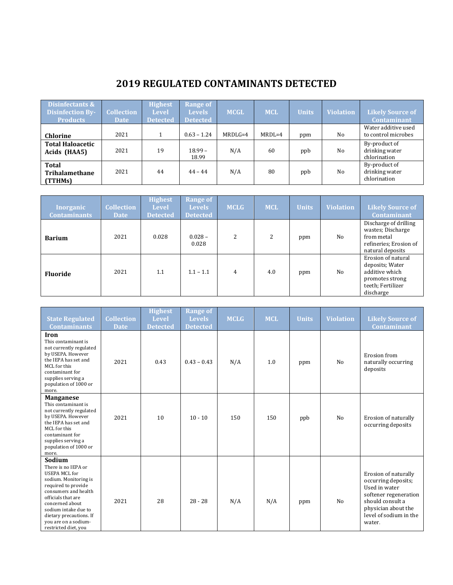# **2019 REGULATED CONTAMINANTS DETECTED**

| Disinfectants &<br><b>Disinfection By-</b><br><b>Products</b> | <b>Collection</b><br><b>Date</b> | <b>Highest</b><br><b>Level</b><br><b>Detected</b> | <b>Range of</b><br><b>Levels</b><br><b>Detected</b> | <b>MCGL</b> | <b>MCL</b> | <b>Units</b> | <b>Violation</b> | <b>Likely Source of</b><br><b>Contaminant</b>   |
|---------------------------------------------------------------|----------------------------------|---------------------------------------------------|-----------------------------------------------------|-------------|------------|--------------|------------------|-------------------------------------------------|
| <b>Chlorine</b>                                               | 2021                             |                                                   | $0.63 - 1.24$                                       | $MRDLG=4$   | $MRDL=4$   | ppm          | No               | Water additive used<br>to control microbes      |
| <b>Total Haloacetic</b><br>Acids (HAA5)                       | 2021                             | 19                                                | $18.99 -$<br>18.99                                  | N/A         | 60         | ppb          | No               | By-product of<br>drinking water<br>chlorination |
| <b>Total</b><br>Trihalamethane<br>(TTHMs)                     | 2021                             | 44                                                | $44 - 44$                                           | N/A         | 80         | ppb          | No               | By-product of<br>drinking water<br>chlorination |

| <b>Inorganic</b><br><b>Contaminants</b> | <b>Collection</b><br><b>Date</b> | <b>Highest</b><br><b>Level</b><br><b>Detected</b> | <b>Range of</b><br><b>Levels</b><br><b>Detected</b> | <b>MCLG</b> | <b>MCL</b> | <b>Units</b> | <b>Violation</b> | <b>Likely Source of</b><br><b>Contaminant</b>                                                                |
|-----------------------------------------|----------------------------------|---------------------------------------------------|-----------------------------------------------------|-------------|------------|--------------|------------------|--------------------------------------------------------------------------------------------------------------|
| <b>Barium</b>                           | 2021                             | 0.028                                             | $0.028 -$<br>0.028                                  | 2           | 2          | ppm          | No               | Discharge of drilling<br>wastes; Discharge<br>from metal<br>refineries; Erosion of<br>natural deposits       |
| <b>Fluoride</b>                         | 2021                             | 1.1                                               | $1.1 - 1.1$                                         | 4           | 4.0        | ppm          | No               | Erosion of natural<br>deposits; Water<br>additive which<br>promotes strong<br>teeth; Fertilizer<br>discharge |

| <b>State Regulated</b><br><b>Contaminants</b>                                                                                                                                                                                                                             | <b>Collection</b><br><b>Date</b> | <b>Highest</b><br><b>Level</b><br><b>Detected</b> | <b>Range of</b><br><b>Levels</b><br><b>Detected</b> | <b>MCLG</b> | <b>MCL</b> | <b>Units</b> | <b>Violation</b> | <b>Likely Source of</b><br><b>Contaminant</b>                                                                                                                        |
|---------------------------------------------------------------------------------------------------------------------------------------------------------------------------------------------------------------------------------------------------------------------------|----------------------------------|---------------------------------------------------|-----------------------------------------------------|-------------|------------|--------------|------------------|----------------------------------------------------------------------------------------------------------------------------------------------------------------------|
| Iron<br>This contaminant is<br>not currently regulated<br>by USEPA. However<br>the IEPA has set and<br>MCL for this<br>contaminant for<br>supplies serving a<br>population of 1000 or<br>more.                                                                            | 2021                             | 0.43                                              | $0.43 - 0.43$                                       | N/A         | 1.0        | ppm          | N <sub>o</sub>   | Erosion from<br>naturally occurring<br>deposits                                                                                                                      |
| <b>Manganese</b><br>This contaminant is<br>not currently regulated<br>by USEPA. However<br>the IEPA has set and<br>MCL for this<br>contaminant for<br>supplies serving a<br>population of 1000 or<br>more.                                                                | 2021                             | 10                                                | $10 - 10$                                           | 150         | 150        | ppb          | No               | Erosion of naturally<br>occurring deposits                                                                                                                           |
| Sodium<br>There is no IEPA or<br><b>USEPA MCL for</b><br>sodium. Monitoring is<br>required to provide<br>consumers and health<br>officials that are<br>concerned about<br>sodium intake due to<br>dietary precautions. If<br>you are on a sodium-<br>restricted diet, you | 2021                             | 28                                                | $28 - 28$                                           | N/A         | N/A        | ppm          | N <sub>o</sub>   | Erosion of naturally<br>occurring deposits;<br>Used in water<br>softener regeneration<br>should consult a<br>physician about the<br>level of sodium in the<br>water. |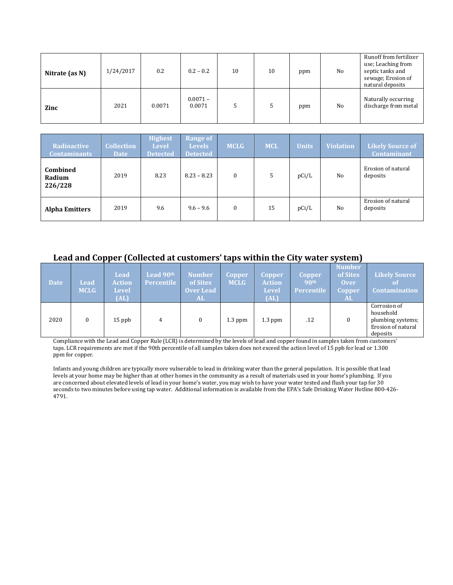| Nitrate (as N) | 1/24/2017 | 0.2    | $0.2 - 0.2$          | 10 | 10 | ppm | No             | Runoff from fertilizer<br>use; Leaching from<br>septic tanks and<br>sewage; Erosion of<br>natural deposits |
|----------------|-----------|--------|----------------------|----|----|-----|----------------|------------------------------------------------------------------------------------------------------------|
| Zinc           | 2021      | 0.0071 | $0.0071 -$<br>0.0071 |    |    | ppm | N <sub>0</sub> | Naturally occurring<br>discharge from metal                                                                |

| <b>Radioactive</b><br><b>Contaminants</b> | <b>Collection</b><br><b>Date</b> | <b>Highest</b><br><b>Level</b><br><b>Detected</b> | <b>Range of</b><br><b>Levels</b><br><b>Detected</b> | <b>MCLG</b> | <b>MCL</b> | <b>Units</b> | <b>Violation</b> | <b>Likely Source of</b><br><b>Contaminant</b> |
|-------------------------------------------|----------------------------------|---------------------------------------------------|-----------------------------------------------------|-------------|------------|--------------|------------------|-----------------------------------------------|
| Combined<br>Radium<br>226/228             | 2019                             | 8.23                                              | $8.23 - 8.23$                                       | 0           | 5          | pCi/L        | No               | Erosion of natural<br>deposits                |
| <b>Alpha Emitters</b>                     | 2019                             | 9.6                                               | $9.6 - 9.6$                                         | $\Omega$    | 15         | pCi/L        | No               | Erosion of natural<br>deposits                |

# **Lead and Copper (Collected at customers' taps within the City water system)**

| <b>Date</b> | Lead<br><b>MCLG</b> | Lead<br><b>Action</b><br><b>Level</b><br>(AL) | Lead 90th<br><b>Percentile</b> | <b>Number</b><br>of Sites<br><b>Over Lead</b><br><b>AL</b> | Copper<br><b>MCLG</b> | <b>Copper</b><br><b>Action</b><br><b>Level</b><br>(AL) | <b>Copper</b><br>90 <sup>th</sup><br><b>Percentile</b> | <b>Number</b><br>of Sites<br><b>Over</b><br><b>Copper</b><br>AL. | Likely Source<br>of<br><b>Contamination</b>                                      |
|-------------|---------------------|-----------------------------------------------|--------------------------------|------------------------------------------------------------|-----------------------|--------------------------------------------------------|--------------------------------------------------------|------------------------------------------------------------------|----------------------------------------------------------------------------------|
| 2020        |                     | $15$ ppb                                      | 4                              | 0                                                          | $1.3$ ppm             | $1.3$ ppm                                              | .12                                                    | 0                                                                | Corrosion of<br>household<br>plumbing systems;<br>Erosion of natural<br>deposits |

Compliance with the Lead and Copper Rule (LCR) is determined by the levels of lead and copper found in samples taken from customers' taps. LCR requirements are met if the 90th percentile of all samples taken does not exceed the action level of 15 ppb for lead or 1.300 ppm for copper.

Infants and young children are typically more vulnerable to lead in drinking water than the general population. It is possible that lead levels at your home may be higher than at other homes in the community as a result of materials used in your home's plumbing. If you are concerned about elevated levels of lead in your home's water, you may wish to have your water tested and flush your tap for 30 seconds to two minutes before using tap water. Additional information is available from the EPA's Safe Drinking Water Hotline 800-426- 4791.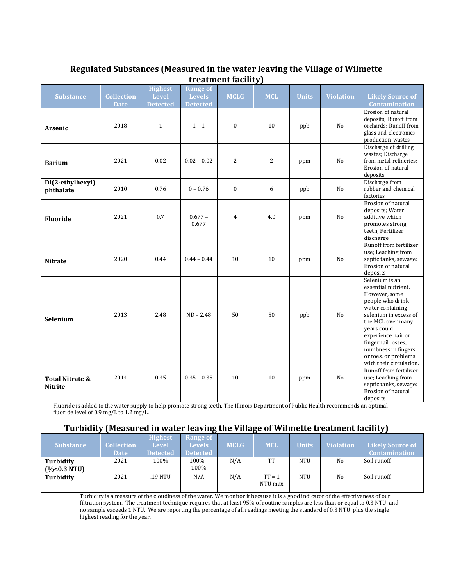| Regulated Substances (Measured in the water leaving the Village of Wilmette |
|-----------------------------------------------------------------------------|
| treatment facility)                                                         |

| <b>Substance</b>                  | <b>Collection</b><br><b>Date</b> | <b>Highest</b><br><b>Level</b><br><b>Detected</b> | <b>Range of</b><br><b>Levels</b><br><b>Detected</b> | <b>MCLG</b>    | <b>MCL</b>     | <b>Units</b> | <b>Violation</b> | <b>Likely Source of</b><br><b>Contamination</b>                                                                                                                                                                                                                                   |
|-----------------------------------|----------------------------------|---------------------------------------------------|-----------------------------------------------------|----------------|----------------|--------------|------------------|-----------------------------------------------------------------------------------------------------------------------------------------------------------------------------------------------------------------------------------------------------------------------------------|
| <b>Arsenic</b>                    | 2018                             | $\mathbf{1}$                                      | $1 - 1$                                             | $\mathbf{0}$   | 10             | ppb          | N <sub>o</sub>   | Erosion of natural<br>deposits; Runoff from<br>orchards; Runoff from<br>glass and electronics<br>production wastes                                                                                                                                                                |
| <b>Barium</b>                     | 2021                             | 0.02                                              | $0.02 - 0.02$                                       | $\overline{c}$ | $\overline{2}$ | ppm          | No               | Discharge of drilling<br>wastes; Discharge<br>from metal refineries;<br>Erosion of natural<br>deposits                                                                                                                                                                            |
| Di(2-ethylhexyl)<br>phthalate     | 2010                             | 0.76                                              | $0 - 0.76$                                          | $\mathbf{0}$   | 6              | ppb          | N <sub>o</sub>   | Discharge from<br>rubber and chemical<br>factories                                                                                                                                                                                                                                |
| <b>Fluoride</b>                   | 2021                             | 0.7                                               | $0.677 -$<br>0.677                                  | 4              | 4.0            | ppm          | N <sub>o</sub>   | Erosion of natural<br>deposits; Water<br>additive which<br>promotes strong<br>teeth; Fertilizer<br>discharge                                                                                                                                                                      |
| <b>Nitrate</b>                    | 2020                             | 0.44                                              | $0.44 - 0.44$                                       | 10             | 10             | ppm          | N <sub>o</sub>   | Runoff from fertilizer<br>use; Leaching from<br>septic tanks, sewage;<br>Erosion of natural<br>deposits                                                                                                                                                                           |
| Selenium                          | 2013                             | 2.48                                              | $ND - 2.48$                                         | 50             | 50             | ppb          | N <sub>o</sub>   | Selenium is an<br>essential nutrient.<br>However, some<br>people who drink<br>water containing<br>selenium in excess of<br>the MCL over many<br>vears could<br>experience hair or<br>fingernail losses,<br>numbness in fingers<br>or toes, or problems<br>with their circulation. |
| Total Nitrate &<br><b>Nitrite</b> | 2014                             | 0.35                                              | $0.35 - 0.35$                                       | 10             | 10             | ppm          | N <sub>o</sub>   | Runoff from fertilizer<br>use; Leaching from<br>septic tanks, sewage;<br>Erosion of natural<br>deposits                                                                                                                                                                           |

Fluoride is added to the water supply to help promote strong teeth. The Illinois Department of Public Health recommends an optimal fluoride level of 0.9 mg/L to 1.2 mg/L.

# **Turbidity (Measured in water leaving the Village of Wilmette treatment facility)**

| <b>Substance</b> | <b>Collection</b><br><b>Date</b> | <b>Highest</b><br><b>Level</b><br><b>Detected</b> | <b>Range of</b><br><b>Levels</b><br><b>Detected</b> | <b>MCLG</b> | <b>MCL</b>          | <b>Units</b> | <b>Violation</b> | <b>Likely Source of</b><br>Contamination |
|------------------|----------------------------------|---------------------------------------------------|-----------------------------------------------------|-------------|---------------------|--------------|------------------|------------------------------------------|
| Turbidity        | 2021                             | 100%                                              | 100% -                                              | N/A         | TT                  | <b>NTU</b>   | No               | Soil runoff                              |
| (%<0.3 NTU)      |                                  |                                                   | 100%                                                |             |                     |              |                  |                                          |
| Turbidity        | 2021                             | .19 NTU                                           | N/A                                                 | N/A         | $TT = 1$<br>NTU max | <b>NTU</b>   | No               | Soil runoff                              |

Turbidity is a measure of the cloudiness of the water. We monitor it because it is a good indicator of the effectiveness of our filtration system. The treatment technique requires that at least 95% of routine samples are less than or equal to 0.3 NTU, and no sample exceeds 1 NTU. We are reporting the percentage of all readings meeting the standard of 0.3 NTU, plus the single highest reading for the year.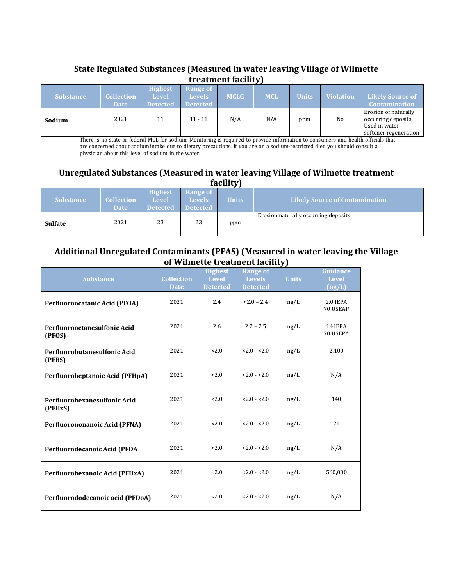# **State Regulated Substances (Measured in water leaving Village of Wilmette treatment facility)**

| <b>Substance</b> | <b>Collection</b><br><b>Date</b> | <b>Highest</b><br><b>Level</b><br><b>Detected</b> | Range of<br>Levels/<br><b>Detected</b> | <b>MCLG</b> | <b>MCL</b> | <b>Units</b> | <b>Violation</b> | <b>Likely Source of</b><br><b>Contamination</b>                                       |
|------------------|----------------------------------|---------------------------------------------------|----------------------------------------|-------------|------------|--------------|------------------|---------------------------------------------------------------------------------------|
| Sodium           | 2021                             | 11                                                | $11 - 11$                              | N/A         | N/A        | ppm          | No               | Erosion of naturally<br>occurring deposits;<br>Used in water<br>softener regeneration |

There is no state or federal MCL for sodium. Monitoring is required to provide information to consumers and health officials that are concerned about sodium intake due to dietary precautions. If you are on a sodium-restricted diet, you should consult a physician about this level of sodium in the water.

## **Unregulated Substances (Measured in water leaving Village of Wilmette treatment facility)**

|                  |                           |                                                   |                                                | $\sim$       |                                       |
|------------------|---------------------------|---------------------------------------------------|------------------------------------------------|--------------|---------------------------------------|
| <b>Substance</b> | Collection<br><b>Date</b> | <b>Highest</b><br><b>Level</b><br><b>Detected</b> | <b>Range of</b><br>Levels /<br><b>Detected</b> | <b>Units</b> | <b>Likely Source of Contamination</b> |
| <b>Sulfate</b>   | 2021                      | 23                                                | 23                                             | ppm          | Erosion naturally occurring deposits  |

## **Additional Unregulated Contaminants (PFAS) (Measured in water leaving the Village of Wilmette treatment facility)**

| <b>Substance</b>                        | <b>Collection</b><br><b>Date</b> | <b>Highest</b><br><b>Level</b><br><b>Detected</b> | <b>Range of</b><br><b>Levels</b><br><b>Detected</b> | <b>Units</b> | <b>Guidance</b><br><b>Level</b><br>(ng/L) |
|-----------------------------------------|----------------------------------|---------------------------------------------------|-----------------------------------------------------|--------------|-------------------------------------------|
| <b>Perfluoroocatanic Acid (PFOA)</b>    | 2021                             | 2.4                                               | $< 2.0 - 2.4$                                       | ng/L         | 2.0 IEPA<br>70 USEAP                      |
| Perfluorooctanesulfonic Acid<br>(PFOS)  | 2021                             | 2.6                                               | $2.2 - 2.5$                                         | ng/L         | 14 IEPA<br>70 USEPA                       |
| Perfluorobutanesulfonic Acid<br>(PFBS)  | 2021                             | 2.0                                               | $< 2.0 - 2.0$                                       | ng/L         | 2,100                                     |
| Perfluoroheptanoic Acid (PFHpA)         | 2021                             | 2.0                                               | $< 2.0 - 2.0$                                       | ng/L         | N/A                                       |
| Perfluorohexanesulfonic Acid<br>(PFHxS) | 2021                             | 2.0                                               | $< 2.0 - 2.0$                                       | ng/L         | 140                                       |
| Perfluorononanoic Acid (PFNA)           | 2021                             | 2.0                                               | $< 2.0 - 2.0$                                       | ng/L         | 21                                        |
| Perfluorodecanoic Acid (PFDA            | 2021                             | 2.0                                               | $< 2.0 - 2.0$                                       | ng/L         | N/A                                       |
| Perfluorohexanoic Acid (PFHxA)          | 2021                             | 2.0                                               | $< 2.0 - 2.0$                                       | ng/L         | 560,000                                   |
| Perfluorododecanoic acid (PFDoA)        | 2021                             | 2.0                                               | $< 2.0 - 2.0$                                       | ng/L         | N/A                                       |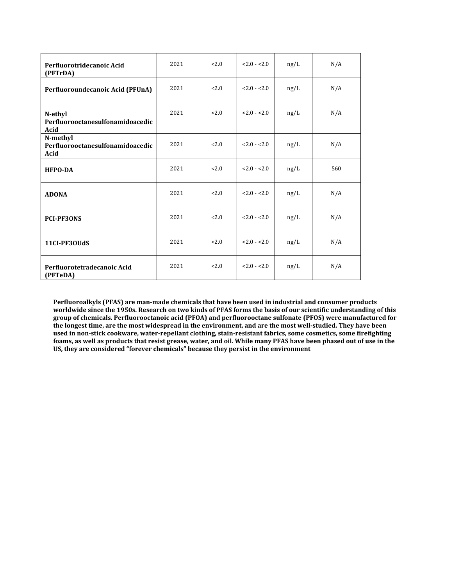| Perfluorotridecanoic Acid<br>(PFTrDA)                | 2021 | 2.0 | $< 2.0 - 2.0$ | ng/L | N/A |
|------------------------------------------------------|------|-----|---------------|------|-----|
| Perfluoroundecanoic Acid (PFUnA)                     | 2021 | 2.0 | $< 2.0 - 2.0$ | ng/L | N/A |
| N-ethyl<br>Perfluorooctanesulfonamidoacedic<br>Acid  | 2021 | 2.0 | $< 2.0 - 2.0$ | ng/L | N/A |
| N-methyl<br>Perfluorooctanesulfonamidoacedic<br>Acid | 2021 | 2.0 | $< 2.0 - 2.0$ | ng/L | N/A |
| <b>HFPO-DA</b>                                       | 2021 | 2.0 | $< 2.0 - 2.0$ | ng/L | 560 |
| <b>ADONA</b>                                         | 2021 | 2.0 | $< 2.0 - 2.0$ | ng/L | N/A |
| <b>PCI-PF3ONS</b>                                    | 2021 | 2.0 | $< 2.0 - 2.0$ | ng/L | N/A |
| 11CI-PF30UdS                                         | 2021 | 2.0 | $2.0 - 2.0$   | ng/L | N/A |
| Perfluorotetradecanoic Acid<br>(PFTeDA)              | 2021 | 2.0 | $< 2.0 - 2.0$ | ng/L | N/A |

**Perfluoroalkyls (PFAS) are man-made chemicals that have been used in industrial and consumer products worldwide since the 1950s. Research on two kinds of PFAS forms the basis of our scientific understanding of this group of chemicals. Perfluorooctanoic acid (PFOA) and perfluorooctane sulfonate (PFOS) were manufactured for the longest time, are the most widespread in the environment, and are the most well-studied. They have been used in non-stick cookware, water-repellant clothing, stain-resistant fabrics, some cosmetics, some firefighting foams, as well as products that resist grease, water, and oil. While many PFAS have been phased out of use in the US, they are considered "forever chemicals" because they persist in the environment**